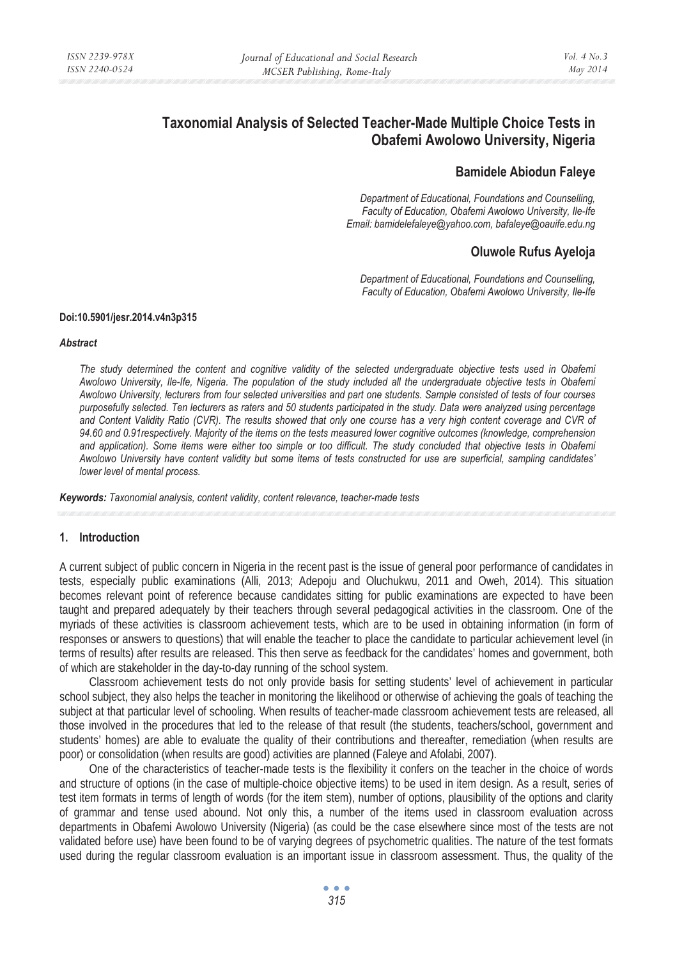# **Taxonomial Analysis of Selected Teacher-Made Multiple Choice Tests in Obafemi Awolowo University, Nigeria**

# **Bamidele Abiodun Faleye**

*Department of Educational, Foundations and Counselling, Faculty of Education, Obafemi Awolowo University, Ile-Ife Email: bamidelefaleye@yahoo.com, bafaleye@oauife.edu.ng* 

# **Oluwole Rufus Ayeloja**

*Department of Educational, Foundations and Counselling, Faculty of Education, Obafemi Awolowo University, Ile-Ife* 

#### **Doi:10.5901/jesr.2014.v4n3p315**

#### *Abstract*

*The study determined the content and cognitive validity of the selected undergraduate objective tests used in Obafemi Awolowo University, Ile-Ife, Nigeria. The population of the study included all the undergraduate objective tests in Obafemi Awolowo University, lecturers from four selected universities and part one students. Sample consisted of tests of four courses purposefully selected. Ten lecturers as raters and 50 students participated in the study. Data were analyzed using percentage and Content Validity Ratio (CVR). The results showed that only one course has a very high content coverage and CVR of 94.60 and 0.91respectively. Majority of the items on the tests measured lower cognitive outcomes (knowledge, comprehension and application). Some items were either too simple or too difficult. The study concluded that objective tests in Obafemi Awolowo University have content validity but some items of tests constructed for use are superficial, sampling candidates' lower level of mental process.* 

*Keywords: Taxonomial analysis, content validity, content relevance, teacher-made tests* 

# **1. Introduction**

A current subject of public concern in Nigeria in the recent past is the issue of general poor performance of candidates in tests, especially public examinations (Alli, 2013; Adepoju and Oluchukwu, 2011 and Oweh, 2014). This situation becomes relevant point of reference because candidates sitting for public examinations are expected to have been taught and prepared adequately by their teachers through several pedagogical activities in the classroom. One of the myriads of these activities is classroom achievement tests, which are to be used in obtaining information (in form of responses or answers to questions) that will enable the teacher to place the candidate to particular achievement level (in terms of results) after results are released. This then serve as feedback for the candidates' homes and government, both of which are stakeholder in the day-to-day running of the school system.

Classroom achievement tests do not only provide basis for setting students' level of achievement in particular school subject, they also helps the teacher in monitoring the likelihood or otherwise of achieving the goals of teaching the subject at that particular level of schooling. When results of teacher-made classroom achievement tests are released, all those involved in the procedures that led to the release of that result (the students, teachers/school, government and students' homes) are able to evaluate the quality of their contributions and thereafter, remediation (when results are poor) or consolidation (when results are good) activities are planned (Faleye and Afolabi, 2007).

One of the characteristics of teacher-made tests is the flexibility it confers on the teacher in the choice of words and structure of options (in the case of multiple-choice objective items) to be used in item design. As a result, series of test item formats in terms of length of words (for the item stem), number of options, plausibility of the options and clarity of grammar and tense used abound. Not only this, a number of the items used in classroom evaluation across departments in Obafemi Awolowo University (Nigeria) (as could be the case elsewhere since most of the tests are not validated before use) have been found to be of varying degrees of psychometric qualities. The nature of the test formats used during the regular classroom evaluation is an important issue in classroom assessment. Thus, the quality of the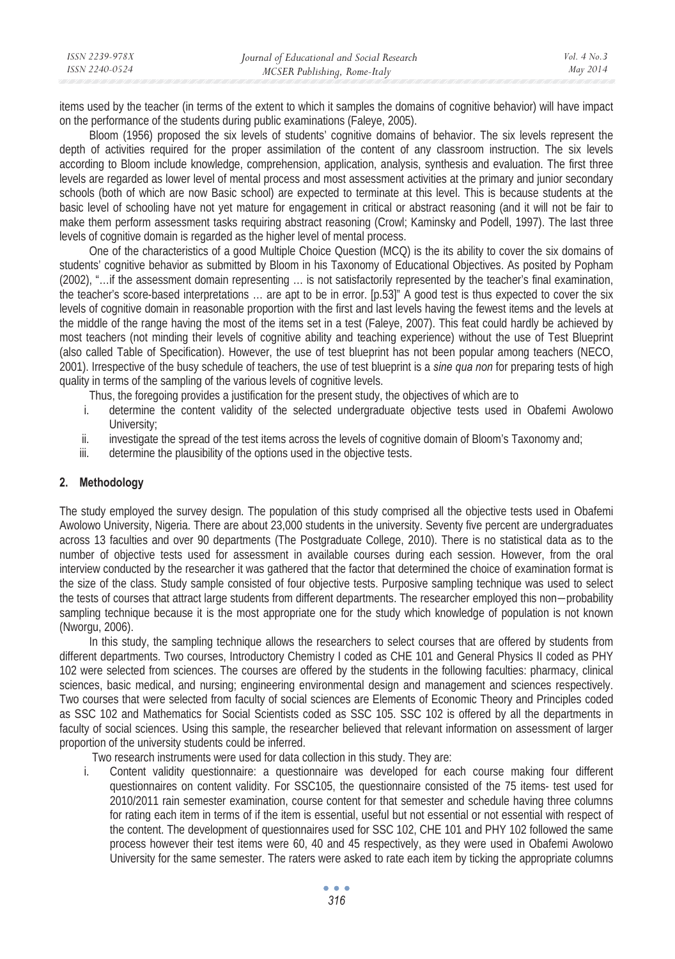| ISSN 2240-0524               | Vol. $4$ No. $3$ |
|------------------------------|------------------|
| MCSER Publishing, Rome-Italy | May 2014         |

items used by the teacher (in terms of the extent to which it samples the domains of cognitive behavior) will have impact on the performance of the students during public examinations (Faleye, 2005).

Bloom (1956) proposed the six levels of students' cognitive domains of behavior. The six levels represent the depth of activities required for the proper assimilation of the content of any classroom instruction. The six levels according to Bloom include knowledge, comprehension, application, analysis, synthesis and evaluation. The first three levels are regarded as lower level of mental process and most assessment activities at the primary and junior secondary schools (both of which are now Basic school) are expected to terminate at this level. This is because students at the basic level of schooling have not yet mature for engagement in critical or abstract reasoning (and it will not be fair to make them perform assessment tasks requiring abstract reasoning (Crowl; Kaminsky and Podell, 1997). The last three levels of cognitive domain is regarded as the higher level of mental process.

One of the characteristics of a good Multiple Choice Question (MCQ) is the its ability to cover the six domains of students' cognitive behavior as submitted by Bloom in his Taxonomy of Educational Objectives. As posited by Popham (2002), "…if the assessment domain representing … is not satisfactorily represented by the teacher's final examination, the teacher's score-based interpretations … are apt to be in error. [p.53]" A good test is thus expected to cover the six levels of cognitive domain in reasonable proportion with the first and last levels having the fewest items and the levels at the middle of the range having the most of the items set in a test (Faleye, 2007). This feat could hardly be achieved by most teachers (not minding their levels of cognitive ability and teaching experience) without the use of Test Blueprint (also called Table of Specification). However, the use of test blueprint has not been popular among teachers (NECO, 2001). Irrespective of the busy schedule of teachers, the use of test blueprint is a *sine qua non* for preparing tests of high quality in terms of the sampling of the various levels of cognitive levels.

Thus, the foregoing provides a justification for the present study, the objectives of which are to

- i. determine the content validity of the selected undergraduate objective tests used in Obafemi Awolowo University;
- ii. investigate the spread of the test items across the levels of cognitive domain of Bloom's Taxonomy and;
- iii. determine the plausibility of the options used in the objective tests.

# **2. Methodology**

The study employed the survey design. The population of this study comprised all the objective tests used in Obafemi Awolowo University, Nigeria. There are about 23,000 students in the university. Seventy five percent are undergraduates across 13 faculties and over 90 departments (The Postgraduate College, 2010). There is no statistical data as to the number of objective tests used for assessment in available courses during each session. However, from the oral interview conducted by the researcher it was gathered that the factor that determined the choice of examination format is the size of the class. Study sample consisted of four objective tests. Purposive sampling technique was used to select the tests of courses that attract large students from different departments. The researcher employed this non-probability sampling technique because it is the most appropriate one for the study which knowledge of population is not known (Nworgu, 2006).

In this study, the sampling technique allows the researchers to select courses that are offered by students from different departments. Two courses, Introductory Chemistry I coded as CHE 101 and General Physics II coded as PHY 102 were selected from sciences. The courses are offered by the students in the following faculties: pharmacy, clinical sciences, basic medical, and nursing; engineering environmental design and management and sciences respectively. Two courses that were selected from faculty of social sciences are Elements of Economic Theory and Principles coded as SSC 102 and Mathematics for Social Scientists coded as SSC 105. SSC 102 is offered by all the departments in faculty of social sciences. Using this sample, the researcher believed that relevant information on assessment of larger proportion of the university students could be inferred.

Two research instruments were used for data collection in this study. They are:

i. Content validity questionnaire: a questionnaire was developed for each course making four different questionnaires on content validity. For SSC105, the questionnaire consisted of the 75 items- test used for 2010/2011 rain semester examination, course content for that semester and schedule having three columns for rating each item in terms of if the item is essential, useful but not essential or not essential with respect of the content. The development of questionnaires used for SSC 102, CHE 101 and PHY 102 followed the same process however their test items were 60, 40 and 45 respectively, as they were used in Obafemi Awolowo University for the same semester. The raters were asked to rate each item by ticking the appropriate columns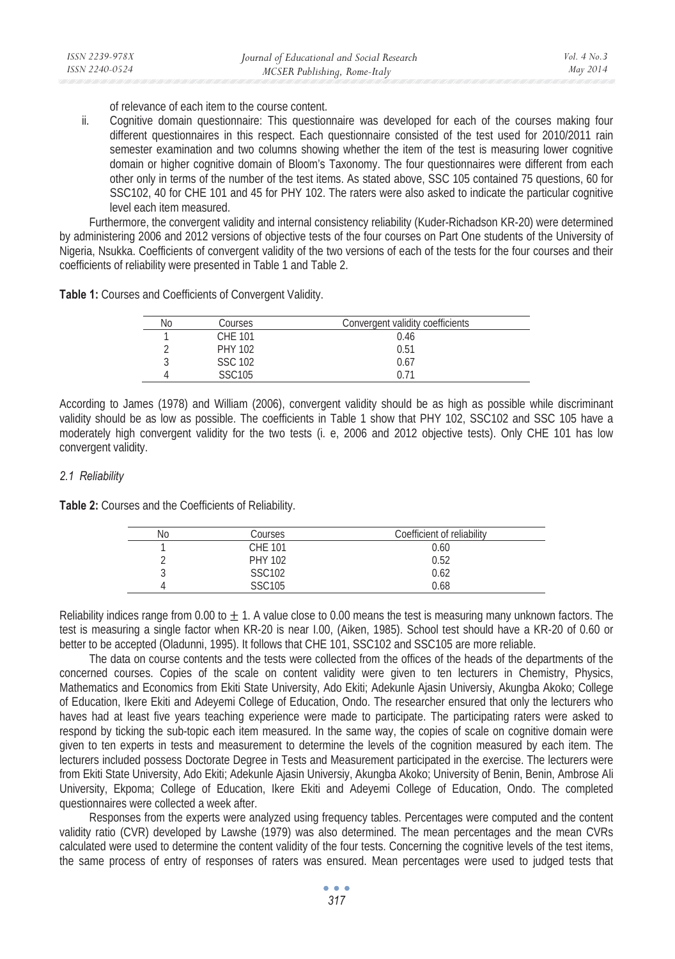of relevance of each item to the course content.

ii. Cognitive domain questionnaire: This questionnaire was developed for each of the courses making four different questionnaires in this respect. Each questionnaire consisted of the test used for 2010/2011 rain semester examination and two columns showing whether the item of the test is measuring lower cognitive domain or higher cognitive domain of Bloom's Taxonomy. The four questionnaires were different from each other only in terms of the number of the test items. As stated above, SSC 105 contained 75 questions, 60 for SSC102, 40 for CHE 101 and 45 for PHY 102. The raters were also asked to indicate the particular cognitive level each item measured.

Furthermore, the convergent validity and internal consistency reliability (Kuder-Richadson KR-20) were determined by administering 2006 and 2012 versions of objective tests of the four courses on Part One students of the University of Nigeria, Nsukka. Coefficients of convergent validity of the two versions of each of the tests for the four courses and their coefficients of reliability were presented in Table 1 and Table 2.

**Table 1:** Courses and Coefficients of Convergent Validity.

| No | Courses        | Convergent validity coefficients |
|----|----------------|----------------------------------|
|    | <b>CHE 101</b> | 0.46                             |
|    | <b>PHY 102</b> | 0.51                             |
|    | <b>SSC 102</b> | 0.67                             |
|    | <b>SSC105</b>  |                                  |

According to James (1978) and William (2006), convergent validity should be as high as possible while discriminant validity should be as low as possible. The coefficients in Table 1 show that PHY 102, SSC102 and SSC 105 have a moderately high convergent validity for the two tests (i. e, 2006 and 2012 objective tests). Only CHE 101 has low convergent validity.

# *2.1 Reliability*

**Table 2:** Courses and the Coefficients of Reliability.

| No | Courses       | Coefficient of reliability |
|----|---------------|----------------------------|
|    | CHE 101       | 0.60                       |
|    | PHY 102       | 0.52                       |
|    | <b>SSC102</b> | 0.62                       |
|    | <b>SSC105</b> | 0.68                       |

Reliability indices range from 0.00 to  $\pm$  1. A value close to 0.00 means the test is measuring many unknown factors. The test is measuring a single factor when KR-20 is near I.00, (Aiken, 1985). School test should have a KR-20 of 0.60 or better to be accepted (Oladunni, 1995). It follows that CHE 101, SSC102 and SSC105 are more reliable.

The data on course contents and the tests were collected from the offices of the heads of the departments of the concerned courses. Copies of the scale on content validity were given to ten lecturers in Chemistry, Physics, Mathematics and Economics from Ekiti State University, Ado Ekiti; Adekunle Ajasin Universiy, Akungba Akoko; College of Education, Ikere Ekiti and Adeyemi College of Education, Ondo. The researcher ensured that only the lecturers who haves had at least five years teaching experience were made to participate. The participating raters were asked to respond by ticking the sub-topic each item measured. In the same way, the copies of scale on cognitive domain were given to ten experts in tests and measurement to determine the levels of the cognition measured by each item. The lecturers included possess Doctorate Degree in Tests and Measurement participated in the exercise. The lecturers were from Ekiti State University, Ado Ekiti; Adekunle Ajasin Universiy, Akungba Akoko; University of Benin, Benin, Ambrose Ali University, Ekpoma; College of Education, Ikere Ekiti and Adeyemi College of Education, Ondo. The completed questionnaires were collected a week after.

Responses from the experts were analyzed using frequency tables. Percentages were computed and the content validity ratio (CVR) developed by Lawshe (1979) was also determined. The mean percentages and the mean CVRs calculated were used to determine the content validity of the four tests. Concerning the cognitive levels of the test items, the same process of entry of responses of raters was ensured. Mean percentages were used to judged tests that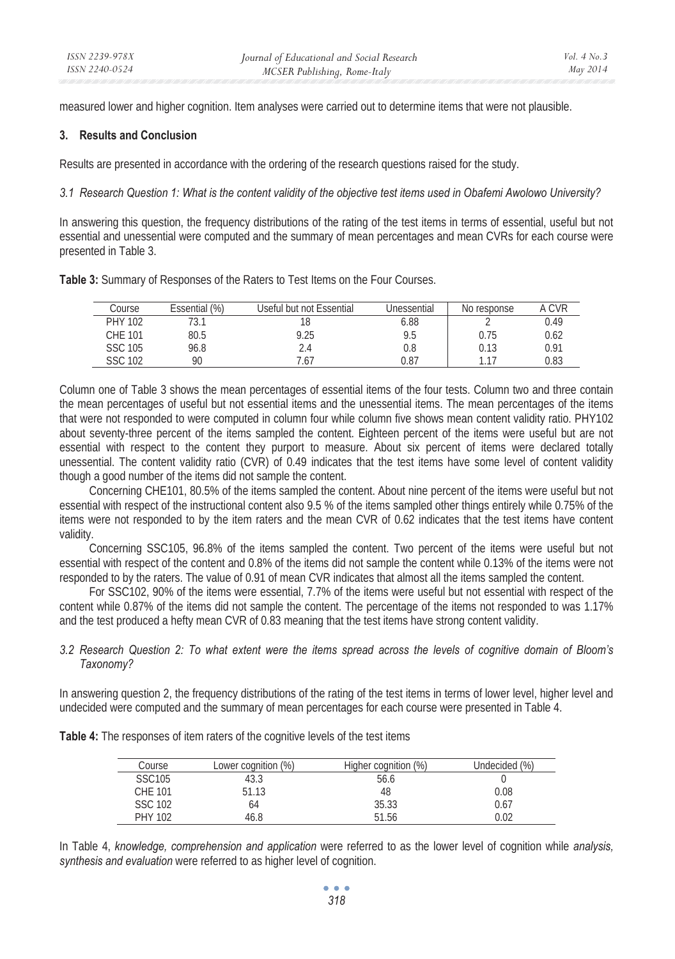measured lower and higher cognition. Item analyses were carried out to determine items that were not plausible.

#### **3. Results and Conclusion**

Results are presented in accordance with the ordering of the research questions raised for the study.

#### *3.1 Research Question 1: What is the content validity of the objective test items used in Obafemi Awolowo University?*

In answering this question, the frequency distributions of the rating of the test items in terms of essential, useful but not essential and unessential were computed and the summary of mean percentages and mean CVRs for each course were presented in Table 3.

| Course         | Essential (%) | Useful but not Essential | <b>Jnessential</b> | No response | A CVR |
|----------------|---------------|--------------------------|--------------------|-------------|-------|
| <b>PHY 102</b> |               |                          | 6.88               |             | 0.49  |
| CHE 101        | 80.5          | 9.25                     | 9.5                | 0.75        | 0.62  |
| <b>SSC 105</b> | 96.8          |                          | 0.8                | 0.13        | 0.91  |
| <b>SSC 102</b> | 90            | 7.67                     | 0.87               | 1 1 7       | 0.83  |

**Table 3:** Summary of Responses of the Raters to Test Items on the Four Courses.

Column one of Table 3 shows the mean percentages of essential items of the four tests. Column two and three contain the mean percentages of useful but not essential items and the unessential items. The mean percentages of the items that were not responded to were computed in column four while column five shows mean content validity ratio. PHY102 about seventy-three percent of the items sampled the content. Eighteen percent of the items were useful but are not essential with respect to the content they purport to measure. About six percent of items were declared totally unessential. The content validity ratio (CVR) of 0.49 indicates that the test items have some level of content validity though a good number of the items did not sample the content.

Concerning CHE101, 80.5% of the items sampled the content. About nine percent of the items were useful but not essential with respect of the instructional content also 9.5 % of the items sampled other things entirely while 0.75% of the items were not responded to by the item raters and the mean CVR of 0.62 indicates that the test items have content validity.

Concerning SSC105, 96.8% of the items sampled the content. Two percent of the items were useful but not essential with respect of the content and 0.8% of the items did not sample the content while 0.13% of the items were not responded to by the raters. The value of 0.91 of mean CVR indicates that almost all the items sampled the content.

For SSC102, 90% of the items were essential, 7.7% of the items were useful but not essential with respect of the content while 0.87% of the items did not sample the content. The percentage of the items not responded to was 1.17% and the test produced a hefty mean CVR of 0.83 meaning that the test items have strong content validity.

# *3.2 Research Question 2: To what extent were the items spread across the levels of cognitive domain of Bloom's Taxonomy?*

In answering question 2, the frequency distributions of the rating of the test items in terms of lower level, higher level and undecided were computed and the summary of mean percentages for each course were presented in Table 4.

|  |  | Table 4: The responses of item raters of the cognitive levels of the test items |
|--|--|---------------------------------------------------------------------------------|
|  |  |                                                                                 |

| Course         | Lower coanition (%) | Higher cognition (%) | Undecided (%) |
|----------------|---------------------|----------------------|---------------|
| <b>SSC105</b>  | 43.3                | 56.6                 |               |
| <b>CHE 101</b> | 51.13               | 48                   | 0.08          |
| <b>SSC 102</b> | 64                  | 35.33                | 0.67          |
| <b>PHY 102</b> | 46.8                | 51.56                | 0.02          |

In Table 4, *knowledge, comprehension and application* were referred to as the lower level of cognition while *analysis, synthesis and evaluation* were referred to as higher level of cognition.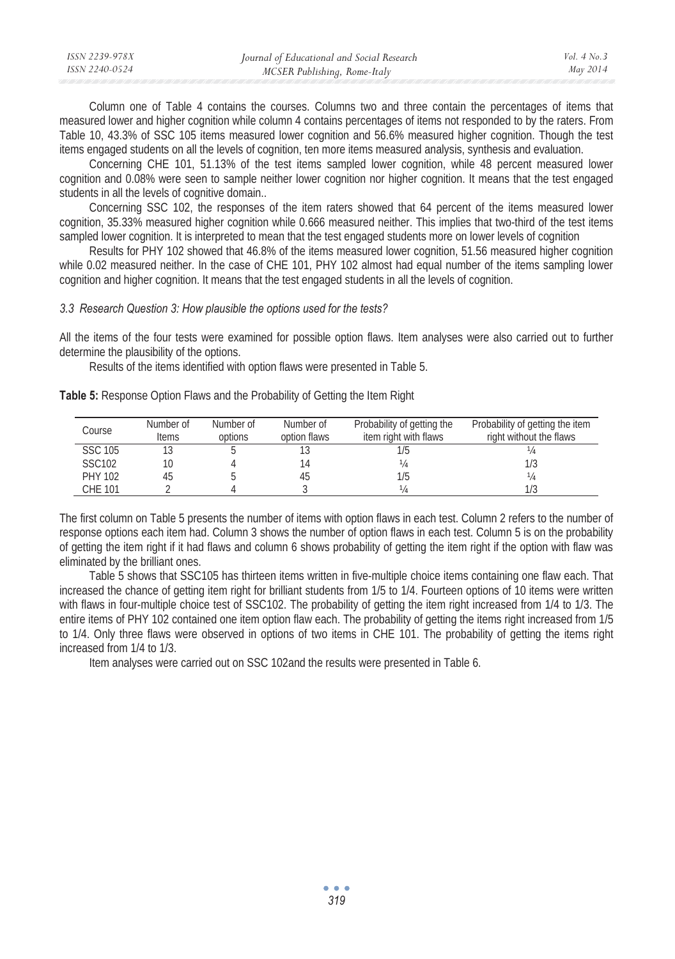| ISSN 2239-978X | Journal of Educational and Social Research | Vol. $4$ No. $3$ |
|----------------|--------------------------------------------|------------------|
| ISSN 2240-0524 | MCSER Publishing, Rome-Italy               | May 2014         |

Column one of Table 4 contains the courses. Columns two and three contain the percentages of items that measured lower and higher cognition while column 4 contains percentages of items not responded to by the raters. From Table 10, 43.3% of SSC 105 items measured lower cognition and 56.6% measured higher cognition. Though the test items engaged students on all the levels of cognition, ten more items measured analysis, synthesis and evaluation.

Concerning CHE 101, 51.13% of the test items sampled lower cognition, while 48 percent measured lower cognition and 0.08% were seen to sample neither lower cognition nor higher cognition. It means that the test engaged students in all the levels of cognitive domain..

Concerning SSC 102, the responses of the item raters showed that 64 percent of the items measured lower cognition, 35.33% measured higher cognition while 0.666 measured neither. This implies that two-third of the test items sampled lower cognition. It is interpreted to mean that the test engaged students more on lower levels of cognition

Results for PHY 102 showed that 46.8% of the items measured lower cognition, 51.56 measured higher cognition while 0.02 measured neither. In the case of CHE 101, PHY 102 almost had equal number of the items sampling lower cognition and higher cognition. It means that the test engaged students in all the levels of cognition.

#### *3.3 Research Question 3: How plausible the options used for the tests?*

All the items of the four tests were examined for possible option flaws. Item analyses were also carried out to further determine the plausibility of the options.

Results of the items identified with option flaws were presented in Table 5.

| Table 5: Response Option Flaws and the Probability of Getting the Item Right |  |
|------------------------------------------------------------------------------|--|
|------------------------------------------------------------------------------|--|

| Course         | Number of    | Number of | Number of    | Probability of getting the | Probability of getting the item |
|----------------|--------------|-----------|--------------|----------------------------|---------------------------------|
|                | <b>Items</b> | options   | option flaws | item right with flaws      | right without the flaws         |
| <b>SSC 105</b> |              |           |              | 1/5                        |                                 |
| <b>SSC102</b>  |              |           |              | 1/4                        | 1/3                             |
| PHY 102        | 45           |           | 45           | 1/5                        |                                 |
| CHE 101        |              |           |              | И                          |                                 |

The first column on Table 5 presents the number of items with option flaws in each test. Column 2 refers to the number of response options each item had. Column 3 shows the number of option flaws in each test. Column 5 is on the probability of getting the item right if it had flaws and column 6 shows probability of getting the item right if the option with flaw was eliminated by the brilliant ones.

Table 5 shows that SSC105 has thirteen items written in five-multiple choice items containing one flaw each. That increased the chance of getting item right for brilliant students from 1/5 to 1/4. Fourteen options of 10 items were written with flaws in four-multiple choice test of SSC102. The probability of getting the item right increased from 1/4 to 1/3. The entire items of PHY 102 contained one item option flaw each. The probability of getting the items right increased from 1/5 to 1/4. Only three flaws were observed in options of two items in CHE 101. The probability of getting the items right increased from 1/4 to 1/3.

Item analyses were carried out on SSC 102and the results were presented in Table 6.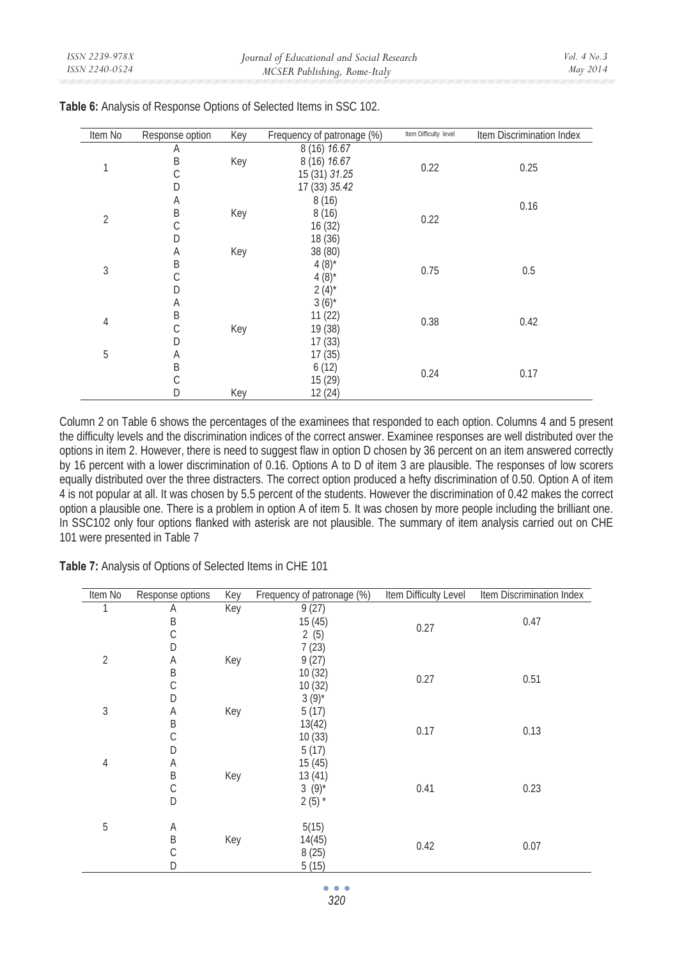| Item No | Response option | Key | Frequency of patronage (%) | Item Difficulty level | Item Discrimination Index |
|---------|-----------------|-----|----------------------------|-----------------------|---------------------------|
|         | Α               |     | 8 (16) 16.67               |                       |                           |
| 1       | $\sf B$         | Key | 8 (16) 16.67               | 0.22                  | 0.25                      |
|         | С               |     | 15 (31) 31.25              |                       |                           |
|         | D               |     | 17 (33) 35.42              |                       |                           |
|         | Α               |     | 8(16)                      |                       | 0.16                      |
| 2       | $\sf B$         | Key | 8(16)                      | 0.22                  |                           |
|         | C               |     | 16(32)                     |                       |                           |
|         | D               |     | 18 (36)                    |                       |                           |
|         | Α               | Key | 38 (80)                    |                       |                           |
| 3       | B               |     | $4(8)^{*}$                 | 0.75                  | 0.5                       |
|         | C               |     | $4(8)^{*}$                 |                       |                           |
|         | D               |     | $2(4)^{*}$                 |                       |                           |
|         | Α               |     | $3(6)^{*}$                 |                       |                           |
| 4       | B               |     | 11(22)                     | 0.38                  | 0.42                      |
|         | С               | Key | 19 (38)                    |                       |                           |
|         | D               |     | 17(33)                     |                       |                           |
| 5       | Α               |     | 17(35)                     |                       |                           |
|         | B               |     | 6(12)                      | 0.24                  | 0.17                      |
|         | С               |     | 15 (29)                    |                       |                           |
|         | D               | Key | 12 (24)                    |                       |                           |

**Table 6:** Analysis of Response Options of Selected Items in SSC 102.

Column 2 on Table 6 shows the percentages of the examinees that responded to each option. Columns 4 and 5 present the difficulty levels and the discrimination indices of the correct answer. Examinee responses are well distributed over the options in item 2. However, there is need to suggest flaw in option D chosen by 36 percent on an item answered correctly by 16 percent with a lower discrimination of 0.16. Options A to D of item 3 are plausible. The responses of low scorers equally distributed over the three distracters. The correct option produced a hefty discrimination of 0.50. Option A of item 4 is not popular at all. It was chosen by 5.5 percent of the students. However the discrimination of 0.42 makes the correct option a plausible one. There is a problem in option A of item 5. It was chosen by more people including the brilliant one. In SSC102 only four options flanked with asterisk are not plausible. The summary of item analysis carried out on CHE 101 were presented in Table 7

| Item No        | Response options | Key | Frequency of patronage (%) | Item Difficulty Level | Item Discrimination Index |
|----------------|------------------|-----|----------------------------|-----------------------|---------------------------|
|                | Α                | Key | 9(27)                      |                       |                           |
|                | B                |     | 15(45)                     | 0.27                  | 0.47                      |
|                | С                |     | 2(5)                       |                       |                           |
|                | D                |     | 7(23)                      |                       |                           |
| $\overline{2}$ | Α                | Key | 9(27)                      |                       |                           |
|                | B                |     | 10(32)                     | 0.27                  | 0.51                      |
|                | С                |     | 10(32)                     |                       |                           |
|                | D                |     | $3(9)^{*}$                 |                       |                           |
| 3              | А                | Key | 5(17)                      |                       |                           |
|                | B                |     | 13(42)                     | 0.17                  | 0.13                      |
|                | С                |     | 10(33)                     |                       |                           |
|                | D                |     | 5(17)                      |                       |                           |
| 4              | Α                |     | 15(45)                     |                       |                           |
|                | B                | Key | 13(41)                     |                       |                           |
|                | С                |     | $3(9)^{*}$                 | 0.41                  | 0.23                      |
|                | D                |     | $2(5)$ *                   |                       |                           |
| 5              | Α                |     | 5(15)                      |                       |                           |
|                | B                | Key | 14(45)                     |                       |                           |
|                | С                |     | 8(25)                      | 0.42                  | 0.07                      |
|                | D                |     | 5(15)                      |                       |                           |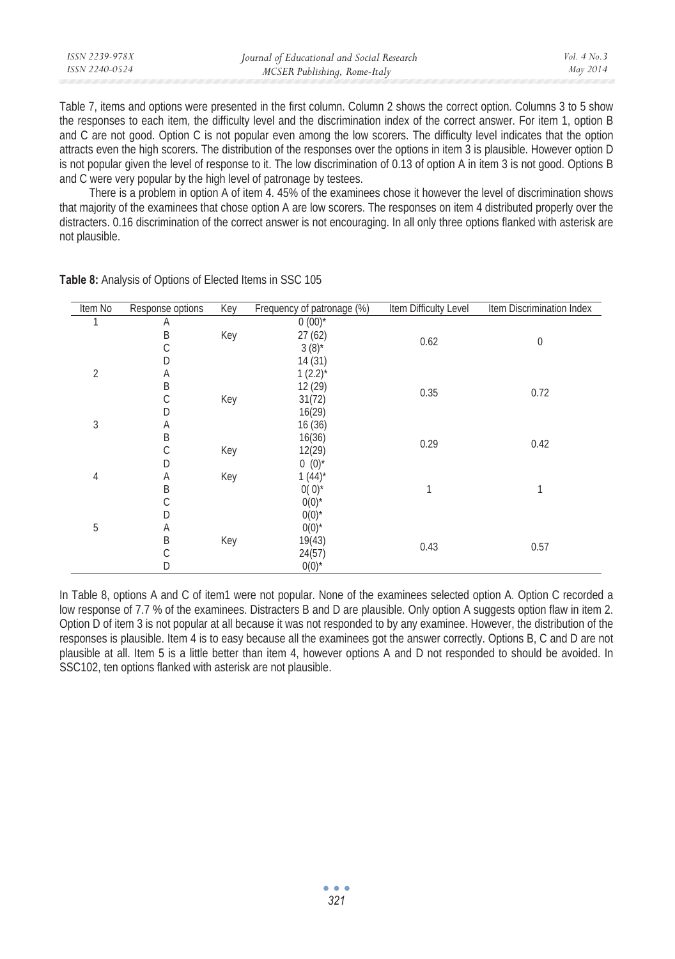| ISSN 2239-978X | Journal of Educational and Social Research | Vol. $4$ No. $3$ |
|----------------|--------------------------------------------|------------------|
| ISSN 2240-0524 | MCSER Publishing, Rome-Italy               | May 2014         |

Table 7, items and options were presented in the first column. Column 2 shows the correct option. Columns 3 to 5 show the responses to each item, the difficulty level and the discrimination index of the correct answer. For item 1, option B and C are not good. Option C is not popular even among the low scorers. The difficulty level indicates that the option attracts even the high scorers. The distribution of the responses over the options in item 3 is plausible. However option D is not popular given the level of response to it. The low discrimination of 0.13 of option A in item 3 is not good. Options B and C were very popular by the high level of patronage by testees.

There is a problem in option A of item 4. 45% of the examinees chose it however the level of discrimination shows that majority of the examinees that chose option A are low scorers. The responses on item 4 distributed properly over the distracters. 0.16 discrimination of the correct answer is not encouraging. In all only three options flanked with asterisk are not plausible.

| Item No        | Response options | Key | Frequency of patronage (%) | Item Difficulty Level | Item Discrimination Index |
|----------------|------------------|-----|----------------------------|-----------------------|---------------------------|
|                | Α                |     | $0(00)^{*}$                |                       |                           |
|                | B                | Key | 27(62)                     | 0.62                  | $\mathbf 0$               |
|                | С                |     | $3(8)^{*}$                 |                       |                           |
|                | D                |     | 14(31)                     |                       |                           |
| $\overline{2}$ | Α                |     | $1(2.2)^{*}$               |                       |                           |
|                | B                |     | 12 (29)                    | 0.35                  | 0.72                      |
|                | С                | Key | 31(72)                     |                       |                           |
|                | D                |     | 16(29)                     |                       |                           |
| 3              | Α                |     | 16(36)                     |                       |                           |
|                | B                |     | 16(36)                     | 0.29                  | 0.42                      |
|                | С                | Key | 12(29)                     |                       |                           |
|                | D                |     | $0(0)^*$                   |                       |                           |
| 4              | Α                | Key | $1(44)^{*}$                |                       |                           |
|                | B                |     | $0(0)^{*}$                 | 1                     | 1                         |
|                | С                |     | $0(0)^{*}$                 |                       |                           |
|                | D                |     | $0(0)^{*}$                 |                       |                           |
| 5              | Α                |     | $0(0)^{*}$                 |                       |                           |
|                | B                | Key | 19(43)                     | 0.43                  | 0.57                      |
|                | С                |     | 24(57)                     |                       |                           |
|                | D                |     | $0(0)^{*}$                 |                       |                           |

**Table 8:** Analysis of Options of Elected Items in SSC 105

In Table 8, options A and C of item1 were not popular. None of the examinees selected option A. Option C recorded a low response of 7.7 % of the examinees. Distracters B and D are plausible. Only option A suggests option flaw in item 2. Option D of item 3 is not popular at all because it was not responded to by any examinee. However, the distribution of the responses is plausible. Item 4 is to easy because all the examinees got the answer correctly. Options B, C and D are not plausible at all. Item 5 is a little better than item 4, however options A and D not responded to should be avoided. In SSC102, ten options flanked with asterisk are not plausible.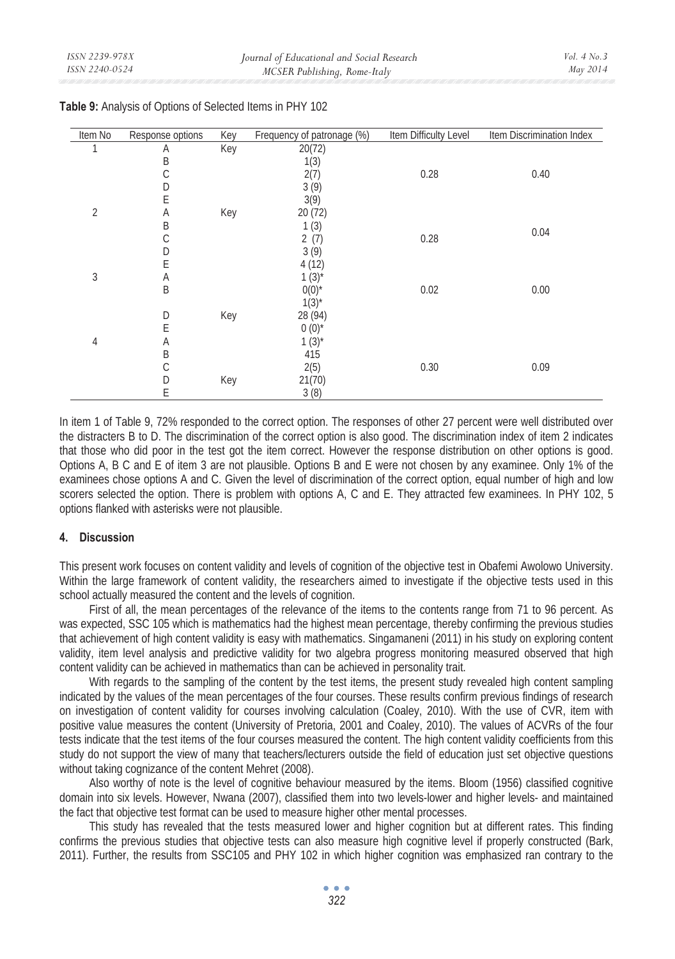| Item No        | Response options | Key | Frequency of patronage (%) | Item Difficulty Level | Item Discrimination Index |
|----------------|------------------|-----|----------------------------|-----------------------|---------------------------|
|                | Α                | Key | 20(72)                     |                       |                           |
|                | B                |     | 1(3)                       |                       |                           |
|                | С                |     | 2(7)                       | 0.28                  | 0.40                      |
|                | D                |     | 3(9)                       |                       |                           |
|                | Ε                |     | 3(9)                       |                       |                           |
| $\overline{2}$ | Α                | Key | 20(72)                     |                       |                           |
|                | B                |     | 1(3)                       |                       | 0.04                      |
|                | С                |     | 2(7)                       | 0.28                  |                           |
|                | D                |     | 3(9)                       |                       |                           |
|                | Ε                |     | 4(12)                      |                       |                           |
| 3              | Α                |     | $1(3)^{*}$                 |                       |                           |
|                | B                |     | $0(0)^{*}$                 | 0.02                  | 0.00                      |
|                |                  |     | $1(3)^{*}$                 |                       |                           |
|                | D                | Key | 28 (94)                    |                       |                           |
|                | E                |     | $0(0)^{*}$                 |                       |                           |
| 4              | Α                |     | $1(3)^{*}$                 |                       |                           |
|                | B                |     | 415                        |                       |                           |
|                | С                |     | 2(5)                       | 0.30                  | 0.09                      |
|                | D                | Key | 21(70)                     |                       |                           |
|                | E                |     | 3(8)                       |                       |                           |

**Table 9:** Analysis of Options of Selected Items in PHY 102

In item 1 of Table 9, 72% responded to the correct option. The responses of other 27 percent were well distributed over the distracters B to D. The discrimination of the correct option is also good. The discrimination index of item 2 indicates that those who did poor in the test got the item correct. However the response distribution on other options is good. Options A, B C and E of item 3 are not plausible. Options B and E were not chosen by any examinee. Only 1% of the examinees chose options A and C. Given the level of discrimination of the correct option, equal number of high and low scorers selected the option. There is problem with options A, C and E. They attracted few examinees. In PHY 102, 5 options flanked with asterisks were not plausible.

# **4. Discussion**

This present work focuses on content validity and levels of cognition of the objective test in Obafemi Awolowo University. Within the large framework of content validity, the researchers aimed to investigate if the objective tests used in this school actually measured the content and the levels of cognition.

First of all, the mean percentages of the relevance of the items to the contents range from 71 to 96 percent. As was expected, SSC 105 which is mathematics had the highest mean percentage, thereby confirming the previous studies that achievement of high content validity is easy with mathematics. Singamaneni (2011) in his study on exploring content validity, item level analysis and predictive validity for two algebra progress monitoring measured observed that high content validity can be achieved in mathematics than can be achieved in personality trait.

With regards to the sampling of the content by the test items, the present study revealed high content sampling indicated by the values of the mean percentages of the four courses. These results confirm previous findings of research on investigation of content validity for courses involving calculation (Coaley, 2010). With the use of CVR, item with positive value measures the content (University of Pretoria, 2001 and Coaley, 2010). The values of ACVRs of the four tests indicate that the test items of the four courses measured the content. The high content validity coefficients from this study do not support the view of many that teachers/lecturers outside the field of education just set objective questions without taking cognizance of the content Mehret (2008).

Also worthy of note is the level of cognitive behaviour measured by the items. Bloom (1956) classified cognitive domain into six levels. However, Nwana (2007), classified them into two levels-lower and higher levels- and maintained the fact that objective test format can be used to measure higher other mental processes.

This study has revealed that the tests measured lower and higher cognition but at different rates. This finding confirms the previous studies that objective tests can also measure high cognitive level if properly constructed (Bark, 2011). Further, the results from SSC105 and PHY 102 in which higher cognition was emphasized ran contrary to the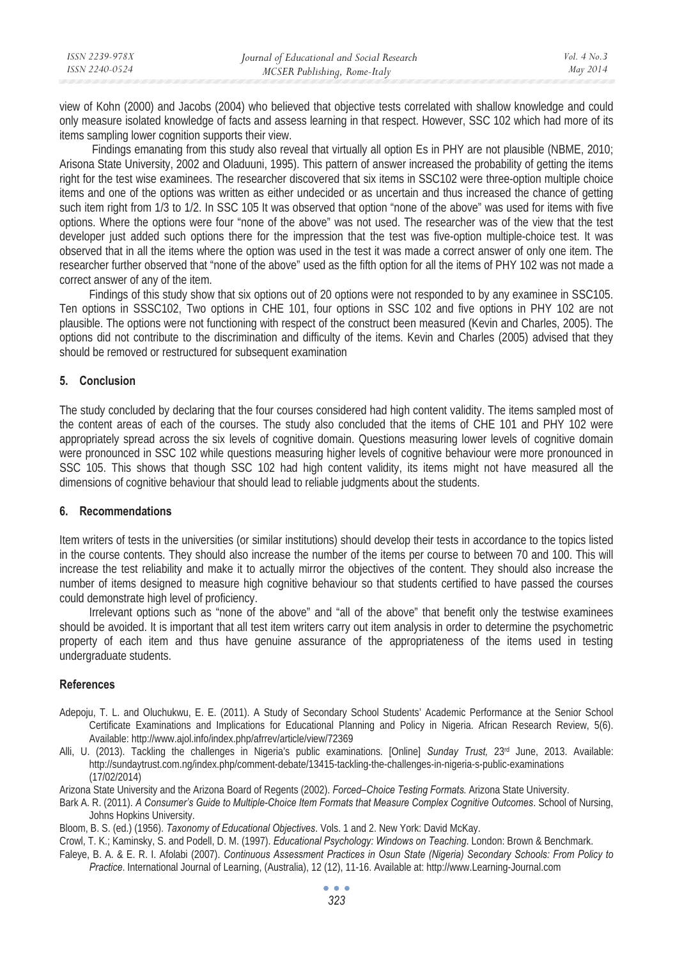| ISSN 2239-978X | Journal of Educational and Social Research | Vol. $4$ No. $3$ |
|----------------|--------------------------------------------|------------------|
| ISSN 2240-0524 | MCSER Publishing, Rome-Italy               | May 2014         |
|                |                                            |                  |

view of Kohn (2000) and Jacobs (2004) who believed that objective tests correlated with shallow knowledge and could only measure isolated knowledge of facts and assess learning in that respect. However, SSC 102 which had more of its items sampling lower cognition supports their view.

Findings emanating from this study also reveal that virtually all option Es in PHY are not plausible (NBME, 2010; Arisona State University, 2002 and Oladuuni, 1995). This pattern of answer increased the probability of getting the items right for the test wise examinees. The researcher discovered that six items in SSC102 were three-option multiple choice items and one of the options was written as either undecided or as uncertain and thus increased the chance of getting such item right from 1/3 to 1/2. In SSC 105 It was observed that option "none of the above" was used for items with five options. Where the options were four "none of the above" was not used. The researcher was of the view that the test developer just added such options there for the impression that the test was five-option multiple-choice test. It was observed that in all the items where the option was used in the test it was made a correct answer of only one item. The researcher further observed that "none of the above" used as the fifth option for all the items of PHY 102 was not made a correct answer of any of the item.

Findings of this study show that six options out of 20 options were not responded to by any examinee in SSC105. Ten options in SSSC102, Two options in CHE 101, four options in SSC 102 and five options in PHY 102 are not plausible. The options were not functioning with respect of the construct been measured (Kevin and Charles, 2005). The options did not contribute to the discrimination and difficulty of the items. Kevin and Charles (2005) advised that they should be removed or restructured for subsequent examination

# **5. Conclusion**

The study concluded by declaring that the four courses considered had high content validity. The items sampled most of the content areas of each of the courses. The study also concluded that the items of CHE 101 and PHY 102 were appropriately spread across the six levels of cognitive domain. Questions measuring lower levels of cognitive domain were pronounced in SSC 102 while questions measuring higher levels of cognitive behaviour were more pronounced in SSC 105. This shows that though SSC 102 had high content validity, its items might not have measured all the dimensions of cognitive behaviour that should lead to reliable judgments about the students.

#### **6. Recommendations**

Item writers of tests in the universities (or similar institutions) should develop their tests in accordance to the topics listed in the course contents. They should also increase the number of the items per course to between 70 and 100. This will increase the test reliability and make it to actually mirror the objectives of the content. They should also increase the number of items designed to measure high cognitive behaviour so that students certified to have passed the courses could demonstrate high level of proficiency.

Irrelevant options such as "none of the above" and "all of the above" that benefit only the testwise examinees should be avoided. It is important that all test item writers carry out item analysis in order to determine the psychometric property of each item and thus have genuine assurance of the appropriateness of the items used in testing undergraduate students.

#### **References**

- Adepoju, T. L. and Oluchukwu, E. E. (2011). A Study of Secondary School Students' Academic Performance at the Senior School Certificate Examinations and Implications for Educational Planning and Policy in Nigeria. African Research Review, 5(6). Available: http://www.ajol.info/index.php/afrrev/article/view/72369
- Alli, U. (2013). Tackling the challenges in Nigeria's public examinations. [Online] *Sunday Trust,* 23rd June, 2013. Available: http://sundaytrust.com.ng/index.php/comment-debate/13415-tackling-the-challenges-in-nigeria-s-public-examinations (17/02/2014)

Arizona State University and the Arizona Board of Regents (2002). *Forced–Choice Testing Formats.* Arizona State University.

Bark A. R. (2011). *A Consumer's Guide to Multiple-Choice Item Formats that Measure Complex Cognitive Outcomes*. School of Nursing, Johns Hopkins University.

Bloom, B. S. (ed.) (1956). *Taxonomy of Educational Objectives*. Vols. 1 and 2. New York: David McKay.

Crowl, T. K.; Kaminsky, S. and Podell, D. M. (1997). *Educational Psychology: Windows on Teaching*. London: Brown & Benchmark.

Faleye, B. A. & E. R. I. Afolabi (2007). *Continuous Assessment Practices in Osun State (Nigeria) Secondary Schools: From Policy to Practice*. International Journal of Learning, (Australia), 12 (12), 11-16. Available at: http://www.Learning-Journal.com